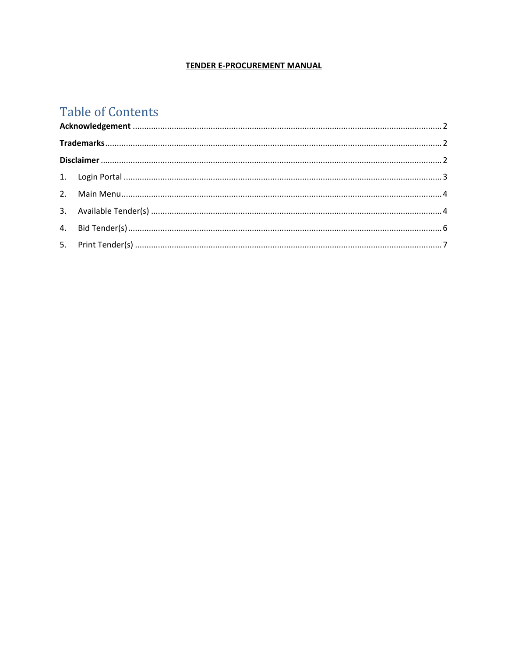## **TENDER E-PROCUREMENT MANUAL**

# **Table of Contents**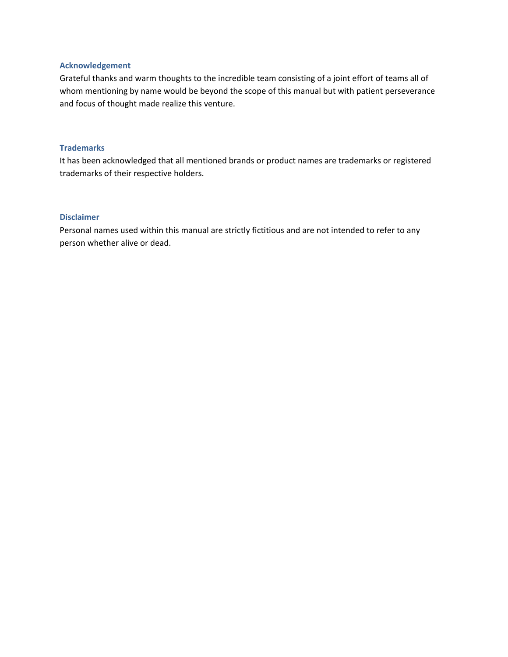#### <span id="page-1-0"></span>**Acknowledgement**

Grateful thanks and warm thoughts to the incredible team consisting of a joint effort of teams all of whom mentioning by name would be beyond the scope of this manual but with patient perseverance and focus of thought made realize this venture.

#### <span id="page-1-1"></span>**Trademarks**

It has been acknowledged that all mentioned brands or product names are trademarks or registered trademarks of their respective holders.

#### <span id="page-1-2"></span>**Disclaimer**

Personal names used within this manual are strictly fictitious and are not intended to refer to any person whether alive or dead.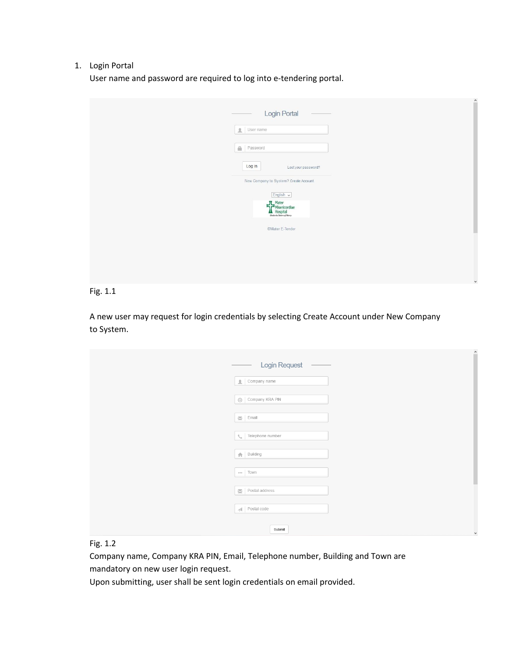#### <span id="page-2-0"></span>1. Login Portal

User name and password are required to log into e-tendering portal.

| $-1.1$<br>Login Portal                                                                         |
|------------------------------------------------------------------------------------------------|
| User name                                                                                      |
| $\tilde{m}$<br>Password                                                                        |
| Log in<br>Lost your password?                                                                  |
| New Company to System? Create Account                                                          |
| $[$ English $\sim$<br><b>IL</b> Mater<br>Misericordiae<br>Hospital<br>Undershe States of Mercy |
| ©Mater E-Tender                                                                                |
|                                                                                                |
|                                                                                                |
|                                                                                                |

#### Fig. 1.1

A new user may request for login credentials by selecting Create Account under New Company to System.

| Login Request                                    |
|--------------------------------------------------|
| $\left  \rule{0.3cm}{.0cm} \right $ Company name |
| © Company KRA PIN                                |
| $\overline{\mathbf{M}}$ Email                    |
| Telephone number<br>$\zeta_{\rm c}$              |
| $\bigoplus$ Building                             |
| *** Town                                         |
| $\overline{\mathbf{M}}$ Postal address           |
| $\mathcal{A}$ Postal code                        |
|                                                  |
| Submit                                           |

## Fig. 1.2

Company name, Company KRA PIN, Email, Telephone number, Building and Town are mandatory on new user login request.

Upon submitting, user shall be sent login credentials on email provided.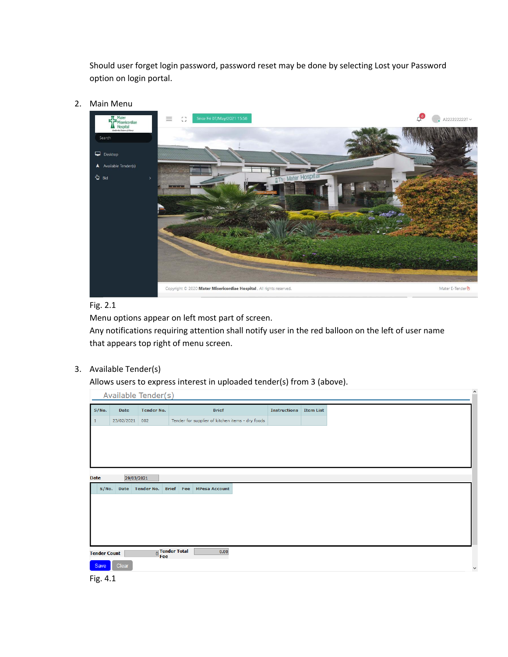Should user forget login password, password reset may be done by selecting Lost your Password option on login portal.

<span id="page-3-0"></span>2. Main Menu



### Fig. 2.1

Menu options appear on left most part of screen.

Any notifications requiring attention shall notify user in the red balloon on the left of user name that appears top right of menu screen.

<span id="page-3-1"></span>3. Available Tender(s)

Allows users to express interest in uploaded tender(s) from 3 (above).

Available Tender(s)

| S/No.               | Date       | <b>Tender No.</b> |                       | <b>Brief</b>                                     | <b>Instructions</b> | <b>Item List</b> |
|---------------------|------------|-------------------|-----------------------|--------------------------------------------------|---------------------|------------------|
|                     | 23/02/2021 | 002               |                       | Tender for supplier of kitchen items - dry foods |                     |                  |
|                     |            |                   |                       |                                                  |                     |                  |
|                     |            |                   |                       |                                                  |                     |                  |
|                     |            |                   |                       |                                                  |                     |                  |
|                     |            |                   |                       |                                                  |                     |                  |
| <b>Date</b>         |            | 29/03/2021        |                       |                                                  |                     |                  |
| S/No.               |            | Date Tender No.   |                       | <b>Brief Fee MPesa Account</b>                   |                     |                  |
|                     |            |                   |                       |                                                  |                     |                  |
|                     |            |                   |                       |                                                  |                     |                  |
|                     |            |                   |                       |                                                  |                     |                  |
|                     |            |                   |                       |                                                  |                     |                  |
|                     |            |                   |                       |                                                  |                     |                  |
| <b>Tender Count</b> |            |                   | O Tender Total<br>Fee | 0.00                                             |                     |                  |
| Save                | Clear      |                   |                       |                                                  |                     |                  |

 $\sim$ 

Fig. 4.1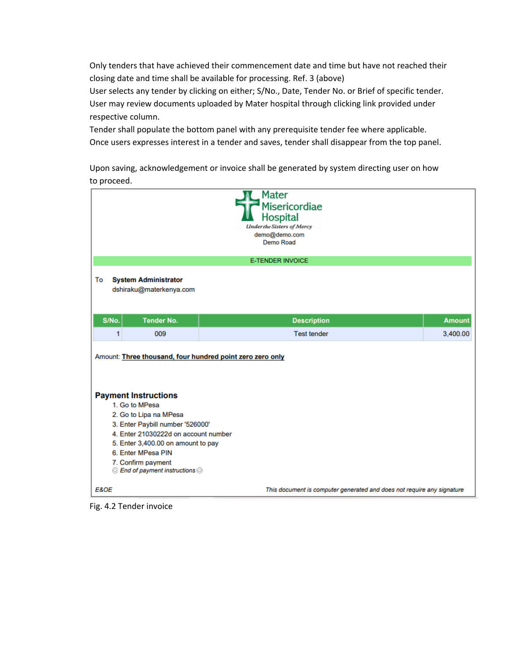Only tenders that have achieved their commencement date and time but have not reached their closing date and time shall be available for processing. Ref. 3 (above)

User selects any tender by clicking on either; S/No., Date, Tender No. or Brief of specific tender. User may review documents uploaded by Mater hospital through clicking link provided under respective column.

Tender shall populate the bottom panel with any prerequisite tender fee where applicable. Once users expresses interest in a tender and saves, tender shall disappear from the top panel.

Upon saving, acknowledgement or invoice shall be generated by system directing user on how to proceed.

|                                                                                                                                                                                                                                                                                                                                                   | Mater<br><b>Misericordiae</b><br>Hospital<br><b>Underthe Sisters of Mercy</b><br>demo@demo.com<br>Demo Road |               |
|---------------------------------------------------------------------------------------------------------------------------------------------------------------------------------------------------------------------------------------------------------------------------------------------------------------------------------------------------|-------------------------------------------------------------------------------------------------------------|---------------|
|                                                                                                                                                                                                                                                                                                                                                   | <b>E-TENDER INVOICE</b>                                                                                     |               |
| To<br><b>System Administrator</b><br>dshiraku@materkenya.com                                                                                                                                                                                                                                                                                      |                                                                                                             |               |
| S/No.<br><b>Tender No.</b>                                                                                                                                                                                                                                                                                                                        | <b>Description</b>                                                                                          | <b>Amount</b> |
| 1<br>009                                                                                                                                                                                                                                                                                                                                          | <b>Test tender</b>                                                                                          | 3,400.00      |
| Amount: Three thousand, four hundred point zero zero only<br><b>Payment Instructions</b><br>1. Go to MPesa<br>2. Go to Lipa na MPesa<br>3. Enter Paybill number '526000'<br>4. Enter 21030222d on account number<br>5. Enter 3,400.00 on amount to pay<br>6. Enter MPesa PIN<br>7. Confirm payment<br>$\odot$ End of payment instructions $\odot$ |                                                                                                             |               |
| <b>E&amp;OE</b>                                                                                                                                                                                                                                                                                                                                   | This document is computer generated and does not require any signature                                      |               |

Fig. 4.2 Tender invoice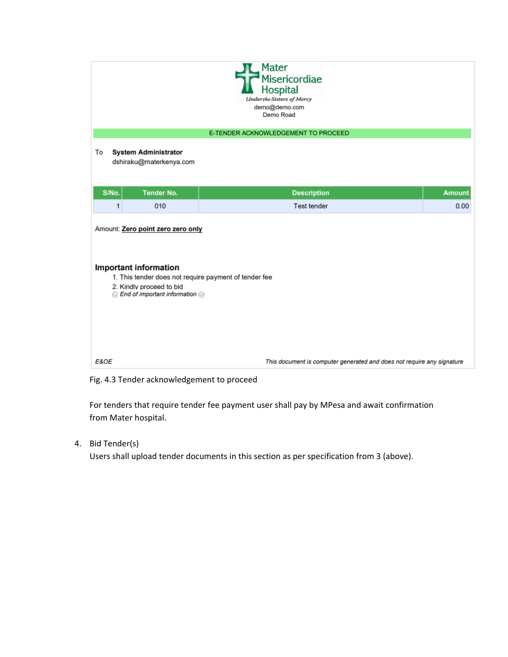| Mater<br>Misericordiae<br><b>Hospital</b><br><b>Underthe Sisters of Mercy</b><br>demo@demo.com<br>Demo Road                                                                                |                                                                        |
|--------------------------------------------------------------------------------------------------------------------------------------------------------------------------------------------|------------------------------------------------------------------------|
| E-TENDER ACKNOWLEDGEMENT TO PROCEED                                                                                                                                                        |                                                                        |
| To<br><b>System Administrator</b><br>dshiraku@materkenya.com                                                                                                                               |                                                                        |
| S/No.<br><b>Tender No.</b><br><b>Description</b>                                                                                                                                           | <b>Amount</b>                                                          |
| <b>Test tender</b><br>1<br>010                                                                                                                                                             | 0.00                                                                   |
| Amount: Zero point zero zero only<br><b>Important information</b><br>1. This tender does not require payment of tender fee<br>2. Kindly proceed to bid<br>© End of important information © |                                                                        |
| E&OE                                                                                                                                                                                       | This document is computer generated and does not require any signature |

Fig. 4.3 Tender acknowledgement to proceed

For tenders that require tender fee payment user shall pay by MPesa and await confirmation from Mater hospital.

<span id="page-5-0"></span>4. Bid Tender(s)

Users shall upload tender documents in this section as per specification from 3 (above).